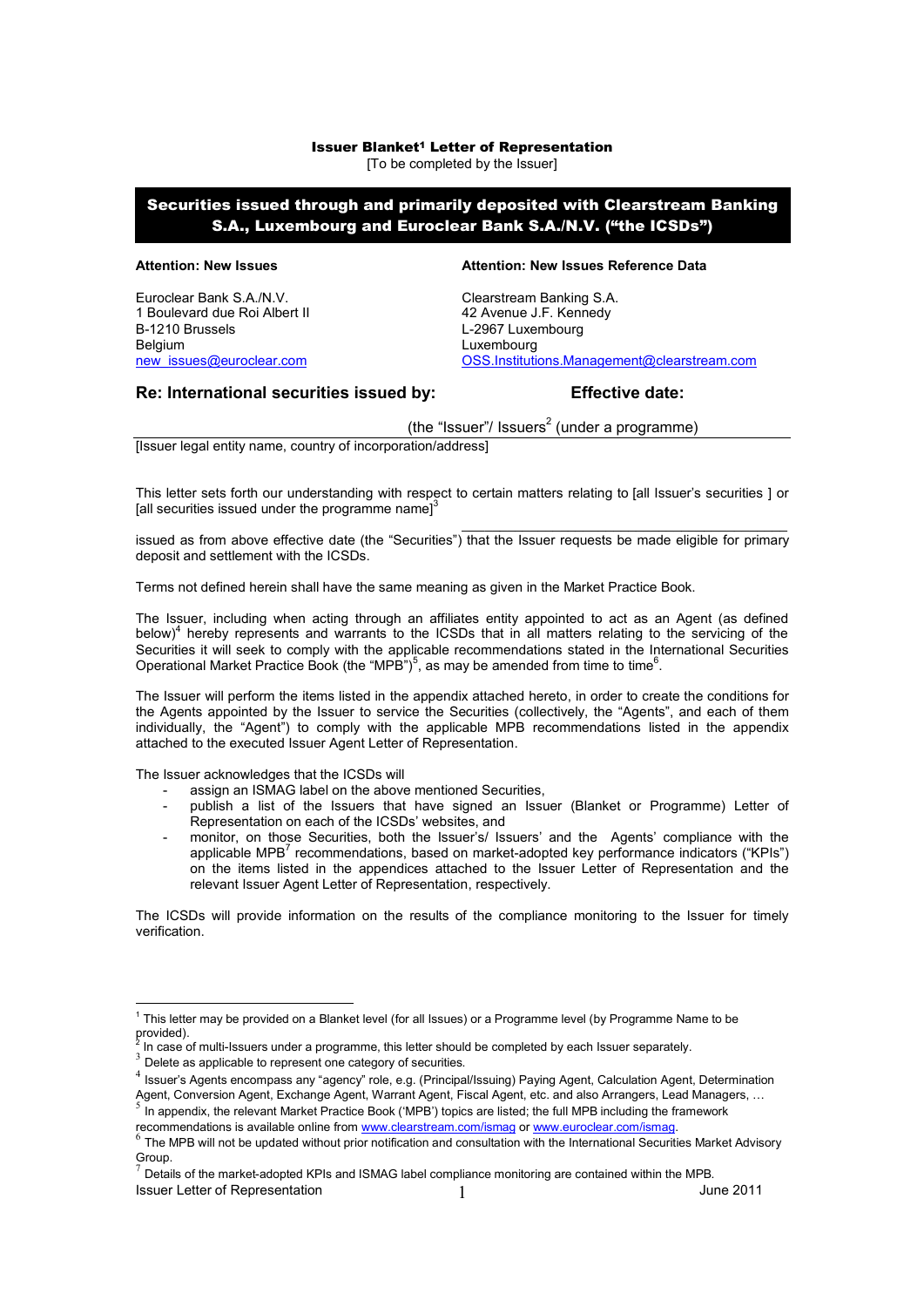# Issuer Blanket1 Letter of Representation

[To be completed by the Issuer]

# Securities issued through and primarily deposited with Clearstream Banking S.A., Luxembourg and Euroclear Bank S.A./N.V. ("the ICSDs")

Euroclear Bank S.A./N.V.<br>
1 Boulevard due Roi Albert II (1999) 1998 1999 12:30 42 Avenue J.F. Kennedy 1 Boulevard due Roi Albert II B-1210 Brussels **L-2967** Luxembourg Belgium **Belgium** Luxembourg

#### **Attention: New Issues Attention: New Issues Reference Data**

[new\\_issues@euroclear.com](mailto:new_issues@euroclear.com) [OSS.Institutions.Management@clearstream.com](mailto:OSS.Institutions.Management@clearstream.com)

### **Re: International securities issued by: Effective date:**

(the "Issuer"/ Issuers<sup>2</sup> (under a programme)

[Issuer legal entity name, country of incorporation/address]

This letter sets forth our understanding with respect to certain matters relating to [all Issuer's securities ] or [all securities issued under the programme name] $3$ 

 $\_$  . The contribution of the contribution of  $\mathcal{L}_\mathcal{A}$ issued as from above effective date (the "Securities") that the Issuer requests be made eligible for primary deposit and settlement with the ICSDs.

Terms not defined herein shall have the same meaning as given in the Market Practice Book.

The Issuer, including when acting through an affiliates entity appointed to act as an Agent (as defined below)<sup>4</sup> hereby represents and warrants to the ICSDs that in all matters relating to the servicing of the Securities it will seek to comply with the applicable recommendations stated in the International Securities Operational Market Practice Book (the "MPB")<sup>5</sup>, as may be amended from time to time<sup>6</sup>.

The Issuer will perform the items listed in the appendix attached hereto, in order to create the conditions for the Agents appointed by the Issuer to service the Securities (collectively, the "Agents", and each of them individually, the "Agent") to comply with the applicable MPB recommendations listed in the appendix attached to the executed Issuer Agent Letter of Representation.

The Issuer acknowledges that the ICSDs will

- assign an ISMAG label on the above mentioned Securities,
- publish a list of the Issuers that have signed an Issuer (Blanket or Programme) Letter of Representation on each of the ICSDs' websites, and
- monitor, on those Securities, both the Issuer's/ Issuers' and the Agents' compliance with the applicable MPB<sup>7</sup> recommendations, based on market-adopted key performance indicators ("KPIs") on the items listed in the appendices attached to the Issuer Letter of Representation and the relevant Issuer Agent Letter of Representation, respectively.

The ICSDs will provide information on the results of the compliance monitoring to the Issuer for timely verification.

Agent, Conversion Agent, Exchange Agent, Warrant Agent, Fiscal Agent, etc. and also Arrangers, Lead Managers, …<br>5 In annondix, the relevant Market Prestice Reak ('MPR') tonine are listed; the full MPR including the framewe In appendix, the relevant Market Practice Book ('MPB') topics are listed; the full MPB including the framework

recommendations is available online from <www.clearstream.com/ismag> or [www.euroclear.com/ism](www.euroclear.com/is)ag.<br>6 The MDB will not be undated without prior netification and consultation with the International Coquriti

**Issuer Letter of Representation** 1 **1** 1 June 2011

<sup>&</sup>lt;sup>1</sup> This letter may be provided on a Blanket level (for all Issues) or a Programme level (by Programme Name to be provided).<br><sup>2</sup> In 2000.

In case of multi-Issuers under a programme, this letter should be completed by each Issuer separately.

 $3$  Delete as applicable to represent one category of securities.

<sup>&</sup>lt;sup>4</sup> Issuer's Agents encompass any "agency" role, e.g. (Principal/Issuing) Paying Agent, Calculation Agent, Determination

The MPB will not be updated without prior notification and consultation with the International Securities Market Advisory Group.

 $^7$  Details of the market-adopted KPIs and ISMAG label compliance monitoring are contained within the MPB.